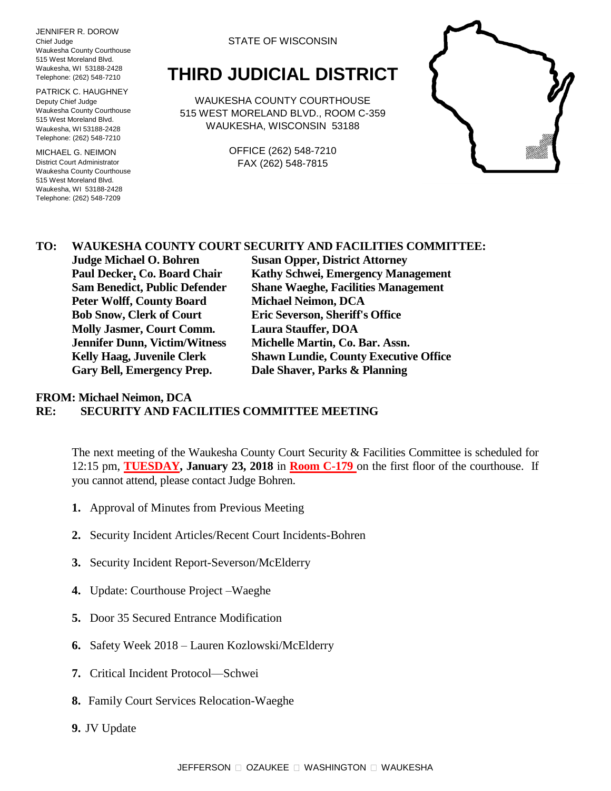JENNIFER R. DOROW Chief Judge Waukesha County Courthouse 515 West Moreland Blvd. Waukesha, WI 53188-2428 Telephone: (262) 548-7210

PATRICK C. HAUGHNEY Deputy Chief Judge Waukesha County Courthouse 515 West Moreland Blvd. Waukesha, WI 53188-2428 Telephone: (262) 548-7210

MICHAEL G. NEIMON District Court Administrator Waukesha County Courthouse 515 West Moreland Blvd. Waukesha, WI 53188-2428 Telephone: (262) 548-7209

## STATE OF WISCONSIN

## **THIRD JUDICIAL DISTRICT**

WAUKESHA COUNTY COURTHOUSE 515 WEST MORELAND BLVD., ROOM C-359 WAUKESHA, WISCONSIN 53188

> OFFICE (262) 548-7210 FAX (262) 548-7815



## **TO: WAUKESHA COUNTY COURT SECURITY AND FACILITIES COMMITTEE:**

**Peter Wolff, County Board Michael Neimon, DCA Bob Snow, Clerk of Court Eric Severson, Sheriff's Office Molly Jasmer, Court Comm. Laura Stauffer, DOA Jennifer Dunn, Victim/Witness Michelle Martin, Co. Bar. Assn. Gary Bell, Emergency Prep. Dale Shaver, Parks & Planning**

**Judge Michael O. Bohren Susan Opper, District Attorney Paul Decker, Co. Board Chair Kathy Schwei, Emergency Management Sam Benedict, Public Defender Shane Waeghe, Facilities Management Kelly Haag, Juvenile Clerk Shawn Lundie, County Executive Office**

## **FROM: Michael Neimon, DCA RE: SECURITY AND FACILITIES COMMITTEE MEETING**

The next meeting of the Waukesha County Court Security & Facilities Committee is scheduled for 12:15 pm, **TUESDAY, January 23, 2018** in **Room C-179** on the first floor of the courthouse. If you cannot attend, please contact Judge Bohren.

- **1.** Approval of Minutes from Previous Meeting
- **2.** Security Incident Articles/Recent Court Incidents-Bohren
- **3.** Security Incident Report-Severson/McElderry
- **4.** Update: Courthouse Project –Waeghe
- **5.** Door 35 Secured Entrance Modification
- **6.** Safety Week 2018 Lauren Kozlowski/McElderry
- **7.** Critical Incident Protocol—Schwei
- **8.** Family Court Services Relocation-Waeghe
- **9.** JV Update